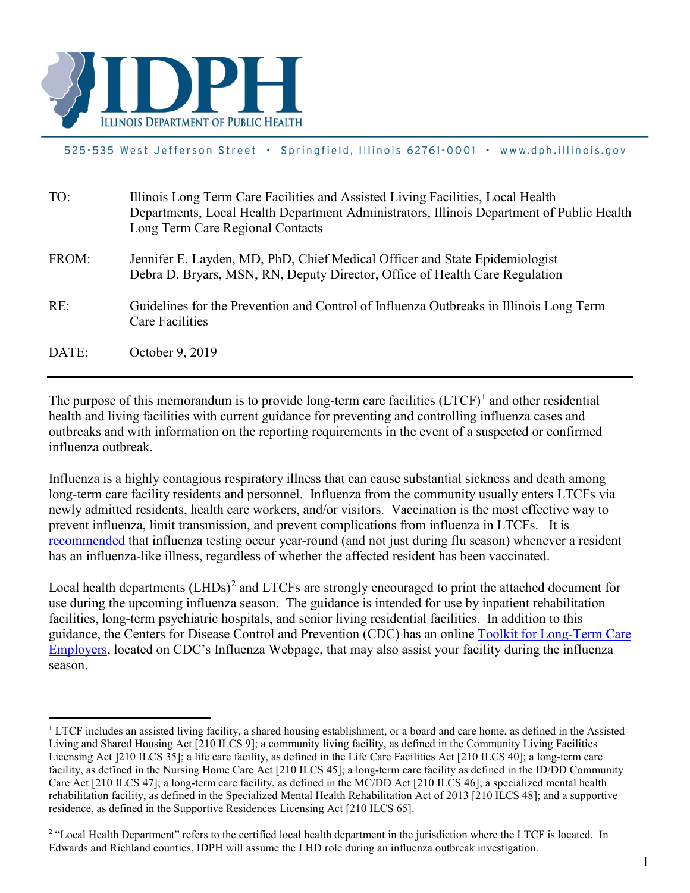

#### 525-535 West Jefferson Street · Springfield, Illinois 62761-0001 · www.dph.illinois.gov

| TO:   | Illinois Long Term Care Facilities and Assisted Living Facilities, Local Health<br>Departments, Local Health Department Administrators, Illinois Department of Public Health<br>Long Term Care Regional Contacts |
|-------|------------------------------------------------------------------------------------------------------------------------------------------------------------------------------------------------------------------|
| FROM: | Jennifer E. Layden, MD, PhD, Chief Medical Officer and State Epidemiologist<br>Debra D. Bryars, MSN, RN, Deputy Director, Office of Health Care Regulation                                                       |
| RE:   | Guidelines for the Prevention and Control of Influenza Outbreaks in Illinois Long Term<br>Care Facilities                                                                                                        |
| DATE: | October 9, 2019                                                                                                                                                                                                  |

The purpose of this memorandum is to provide long-term care facilities  $(LTCF)^{1}$  $(LTCF)^{1}$  $(LTCF)^{1}$  and other residential health and living facilities with current guidance for preventing and controlling influenza cases and outbreaks and with information on the reporting requirements in the event of a suspected or confirmed influenza outbreak.

Influenza is a highly contagious respiratory illness that can cause substantial sickness and death among long-term care facility residents and personnel. Influenza from the community usually enters LTCFs via newly admitted residents, health care workers, and/or visitors. Vaccination is the most effective way to prevent influenza, limit transmission, and prevent complications from influenza in LTCFs. It is [recommended](https://www.cdc.gov/flu/professionals/acip/summary/summary-recommendations.htm) that influenza testing occur year-round (and not just during flu season) whenever a resident has an influenza-like illness, regardless of whether the affected resident has been vaccinated.

Local health departments (LHDs)<sup>[2](#page-0-1)</sup> and LTCFs are strongly encouraged to print the attached document for use during the upcoming influenza season. The guidance is intended for use by inpatient rehabilitation facilities, long-term psychiatric hospitals, and senior living residential facilities. In addition to this guidance, the Centers for Disease Control and Prevention (CDC) has an online [Toolkit for Long-Term Care](http://www.cdc.gov/flu/toolkit/long-term-care/index.htm)  [Employers,](http://www.cdc.gov/flu/toolkit/long-term-care/index.htm) located on CDC's Influenza Webpage, that may also assist your facility during the influenza season.

<span id="page-0-0"></span><sup>&</sup>lt;sup>1</sup> LTCF includes an assisted living facility, a shared housing establishment, or a board and care home, as defined in the Assisted Living and Shared Housing Act [210 ILCS 9]; a community living facility, as defined in the Community Living Facilities Licensing Act ]210 ILCS 35]; a life care facility, as defined in the Life Care Facilities Act [210 ILCS 40]; a long-term care facility, as defined in the Nursing Home Care Act [210 ILCS 45]; a long-term care facility as defined in the ID/DD Community Care Act [210 ILCS 47]; a long-term care facility, as defined in the MC/DD Act [210 ILCS 46]; a specialized mental health rehabilitation facility, as defined in the Specialized Mental Health Rehabilitation Act of 2013 [210 ILCS 48]; and a supportive residence, as defined in the Supportive Residences Licensing Act [210 ILCS 65].

<span id="page-0-1"></span><sup>&</sup>lt;sup>2</sup> "Local Health Department" refers to the certified local health department in the jurisdiction where the LTCF is located. In Edwards and Richland counties, IDPH will assume the LHD role during an influenza outbreak investigation.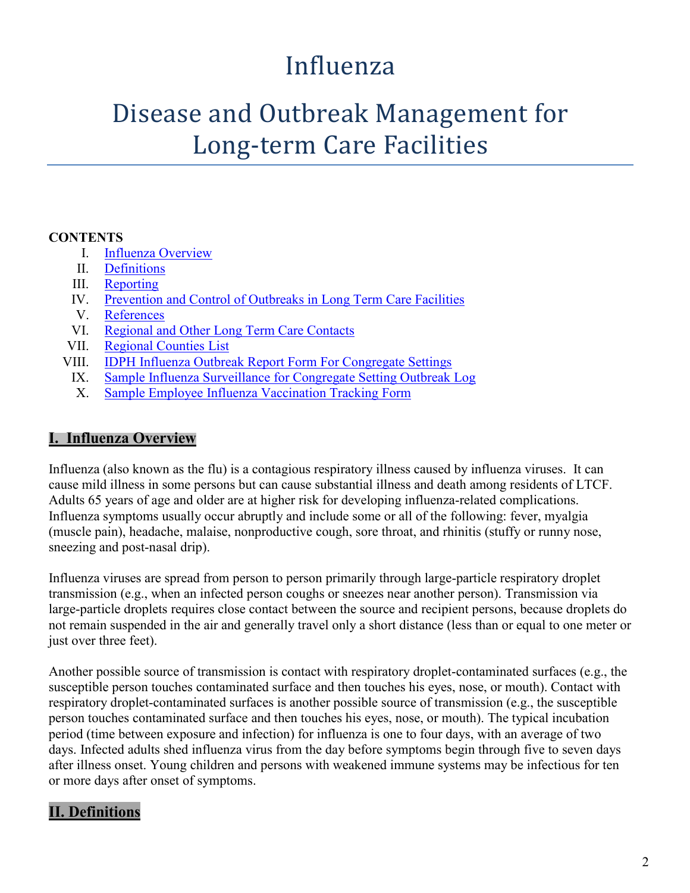### Influenza

## Disease and Outbreak Management for Long-term Care Facilities

#### **CONTENTS**

- I. [Influenza Overview](#page-1-0)
- II. [Definitions](#page-1-1)
- III. [Reporting](#page-2-0)
- IV. [Prevention and Control of Outbreaks in Long Term Care Facilities](#page-2-1)
- V. [References](#page-9-0)
- VI. [Regional and Other Long Term Care Contacts](#page-9-1)
- VII. [Regional Counties List](#page-11-0)
- VIII. [IDPH Influenza Outbreak Report Form For Congregate Settings](#page-12-0)
	- IX. [Sample Influenza Surveillance for Congregate Setting Outbreak Log](#page-13-0)
	- X. [Sample Employee Influenza Vaccination Tracking Form](#page-14-0)

#### <span id="page-1-0"></span>**I. Influenza Overview**

Influenza (also known as the flu) is a contagious respiratory illness caused by influenza viruses. It can cause mild illness in some persons but can cause substantial illness and death among residents of LTCF. Adults 65 years of age and older are at higher risk for developing influenza-related complications. Influenza symptoms usually occur abruptly and include some or all of the following: fever, myalgia (muscle pain), headache, malaise, nonproductive cough, sore throat, and rhinitis (stuffy or runny nose, sneezing and post-nasal drip).

Influenza viruses are spread from person to person primarily through large-particle respiratory droplet transmission (e.g., when an infected person coughs or sneezes near another person). Transmission via large-particle droplets requires close contact between the source and recipient persons, because droplets do not remain suspended in the air and generally travel only a short distance (less than or equal to one meter or just over three feet).

Another possible source of transmission is contact with respiratory droplet-contaminated surfaces (e.g., the susceptible person touches contaminated surface and then touches his eyes, nose, or mouth). Contact with respiratory droplet-contaminated surfaces is another possible source of transmission (e.g., the susceptible person touches contaminated surface and then touches his eyes, nose, or mouth). The typical incubation period (time between exposure and infection) for influenza is one to four days, with an average of two days. Infected adults shed influenza virus from the day before symptoms begin through five to seven days after illness onset. Young children and persons with weakened immune systems may be infectious for ten or more days after onset of symptoms.

#### <span id="page-1-1"></span>**II. Definitions**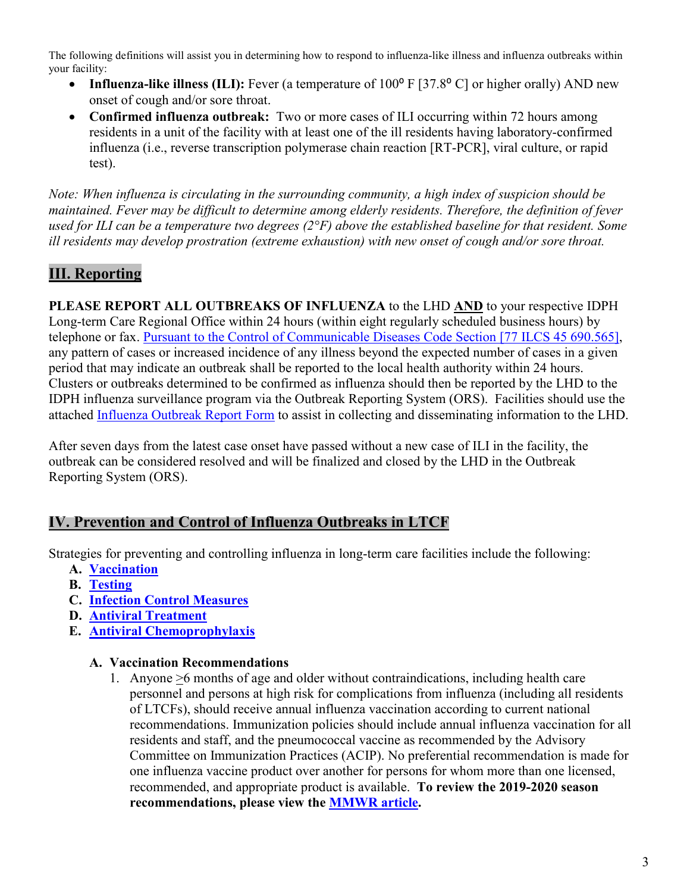The following definitions will assist you in determining how to respond to influenza-like illness and influenza outbreaks within your facility:

- **Influenza-like illness (ILI):** Fever (a temperature of 100<sup>o</sup> F [37.8<sup>o</sup> C] or higher orally) AND new onset of cough and/or sore throat.
- **Confirmed influenza outbreak:** Two or more cases of ILI occurring within 72 hours among residents in a unit of the facility with at least one of the ill residents having laboratory-confirmed influenza (i.e., reverse transcription polymerase chain reaction [RT-PCR], viral culture, or rapid test).

*Note: When influenza is circulating in the surrounding community, a high index of suspicion should be maintained. Fever may be difficult to determine among elderly residents. Therefore, the definition of fever used for ILI can be a temperature two degrees (2°F) above the established baseline for that resident. Some ill residents may develop prostration (extreme exhaustion) with new onset of cough and/or sore throat.*

#### <span id="page-2-0"></span>**III. Reporting**

**PLEASE REPORT ALL OUTBREAKS OF INFLUENZA** to the LHD **AND** to your respective IDPH Long-term Care Regional Office within 24 hours (within eight regularly scheduled business hours) by telephone or fax. [Pursuant to the Control of Communicable Diseases Code Section \[77 ILCS 45 690.565\]](http://www.ilga.gov/commission/jcar/admincode/077/077006900D05650R.html), any pattern of cases or increased incidence of any illness beyond the expected number of cases in a given period that may indicate an outbreak shall be reported to the local health authority within 24 hours. Clusters or outbreaks determined to be confirmed as influenza should then be reported by the LHD to the IDPH influenza surveillance program via the Outbreak Reporting System (ORS). Facilities should use the attached [Influenza Outbreak Report Form](#page-12-0) to assist in collecting and disseminating information to the LHD.

After seven days from the latest case onset have passed without a new case of ILI in the facility, the outbreak can be considered resolved and will be finalized and closed by the LHD in the Outbreak Reporting System (ORS).

#### <span id="page-2-1"></span>**IV. Prevention and Control of Influenza Outbreaks in LTCF**

Strategies for preventing and controlling influenza in long-term care facilities include the following:

- **A. [Vaccination](#page-2-2)**
- **B. [Testing](#page-4-0)**
- **C. [Infection Control Measures](#page-4-1)**
- **D. [Antiviral Treatment](#page-7-0)**
- <span id="page-2-2"></span>**E. [Antiviral Chemoprophylaxis](#page-8-0)**

#### **A. Vaccination Recommendations**

1. Anyone >6 months of age and older without contraindications, including health care personnel and persons at high risk for complications from influenza (including all residents of LTCFs), should receive annual influenza vaccination according to current national recommendations. Immunization policies should include annual influenza vaccination for all residents and staff, and the pneumococcal vaccine as recommended by the Advisory Committee on Immunization Practices (ACIP). No preferential recommendation is made for one influenza vaccine product over another for persons for whom more than one licensed, recommended, and appropriate product is available. **To review the 2019-2020 season recommendations, please view the [MMWR article.](https://www.cdc.gov/mmwr/volumes/68/rr/rr6803a1.htm?s_cid=rr6803a1_e&deliveryName=USCDC_921-DM7382)**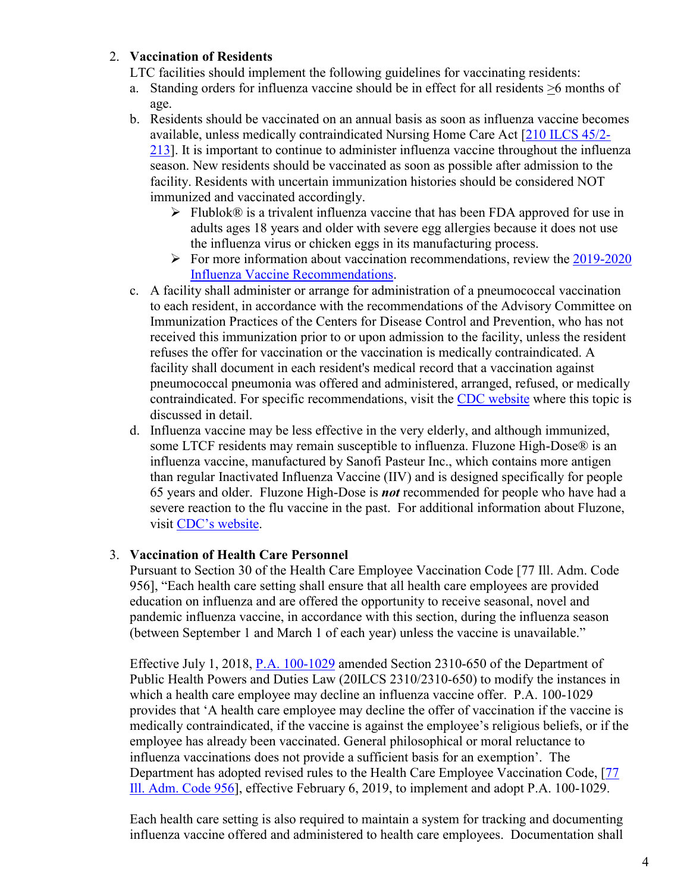#### 2. **Vaccination of Residents**

- LTC facilities should implement the following guidelines for vaccinating residents:
- a. Standing orders for influenza vaccine should be in effect for all residents >6 months of age.
- b. Residents should be vaccinated on an annual basis as soon as influenza vaccine becomes available, unless medically contraindicated Nursing Home Care Act [\[210 ILCS 45/2-](http://www.ilga.gov/legislation/ilcs/ilcs4.asp?ActID=1225&SeqStart=6300000&SeqEnd=8400000) [213\]](http://www.ilga.gov/legislation/ilcs/ilcs4.asp?ActID=1225&SeqStart=6300000&SeqEnd=8400000). It is important to continue to administer influenza vaccine throughout the influenza season. New residents should be vaccinated as soon as possible after admission to the facility. Residents with uncertain immunization histories should be considered NOT immunized and vaccinated accordingly.
	- Flublok<sup>®</sup> is a trivalent influenza vaccine that has been FDA approved for use in adults ages 18 years and older with severe egg allergies because it does not use the influenza virus or chicken eggs in its manufacturing process.
	- $\triangleright$  For more information about vaccination recommendations, review the 2019-2020 [Influenza Vaccine Recommendations.](https://www.cdc.gov/mmwr/volumes/68/rr/rr6803a1.htm?s_cid=rr6803a1_e&deliveryName=USCDC_921-DM7382)
- c. A facility shall administer or arrange for administration of a pneumococcal vaccination to each resident, in accordance with the recommendations of the Advisory Committee on Immunization Practices of the Centers for Disease Control and Prevention, who has not received this immunization prior to or upon admission to the facility, unless the resident refuses the offer for vaccination or the vaccination is medically contraindicated. A facility shall document in each resident's medical record that a vaccination against pneumococcal pneumonia was offered and administered, arranged, refused, or medically contraindicated. For specific recommendations, visit the [CDC website](https://www.cdc.gov/vaccines/vpd/pneumo/index.html) where this topic is discussed in detail.
- d. Influenza vaccine may be less effective in the very elderly, and although immunized, some LTCF residents may remain susceptible to influenza. Fluzone High-Dose® is an influenza vaccine, manufactured by Sanofi Pasteur Inc., which contains more antigen than regular Inactivated Influenza Vaccine (IIV) and is designed specifically for people 65 years and older. Fluzone High-Dose is *not* recommended for people who have had a severe reaction to the flu vaccine in the past. For additional information about Fluzone, visit [CDC's website.](http://www.cdc.gov/flu/protect/vaccine/qa_fluzone.htm)

#### 3. **Vaccination of Health Care Personnel**

Pursuant to Section 30 of the Health Care Employee Vaccination Code [77 Ill. Adm. Code 956], "Each health care setting shall ensure that all health care employees are provided education on influenza and are offered the opportunity to receive seasonal, novel and pandemic influenza vaccine, in accordance with this section, during the influenza season (between September 1 and March 1 of each year) unless the vaccine is unavailable."

Effective July 1, 2018, [P.A. 100-1029](http://www.ilga.gov/legislation/publicacts/fulltext.asp?Name=100-1029&GA=100) amended Section 2310-650 of the Department of Public Health Powers and Duties Law (20ILCS 2310/2310-650) to modify the instances in which a health care employee may decline an influenza vaccine offer. P.A. 100-1029 provides that 'A health care employee may decline the offer of vaccination if the vaccine is medically contraindicated, if the vaccine is against the employee's religious beliefs, or if the employee has already been vaccinated. General philosophical or moral reluctance to influenza vaccinations does not provide a sufficient basis for an exemption'. The Department has adopted revised rules to the Health Care Employee Vaccination Code, [\[77](http://www.ilga.gov/commission/jcar/admincode/077/077009560000300R.html)  [Ill. Adm. Code 956\]](http://www.ilga.gov/commission/jcar/admincode/077/077009560000300R.html), effective February 6, 2019, to implement and adopt P.A. 100-1029.

Each health care setting is also required to maintain a system for tracking and documenting influenza vaccine offered and administered to health care employees. Documentation shall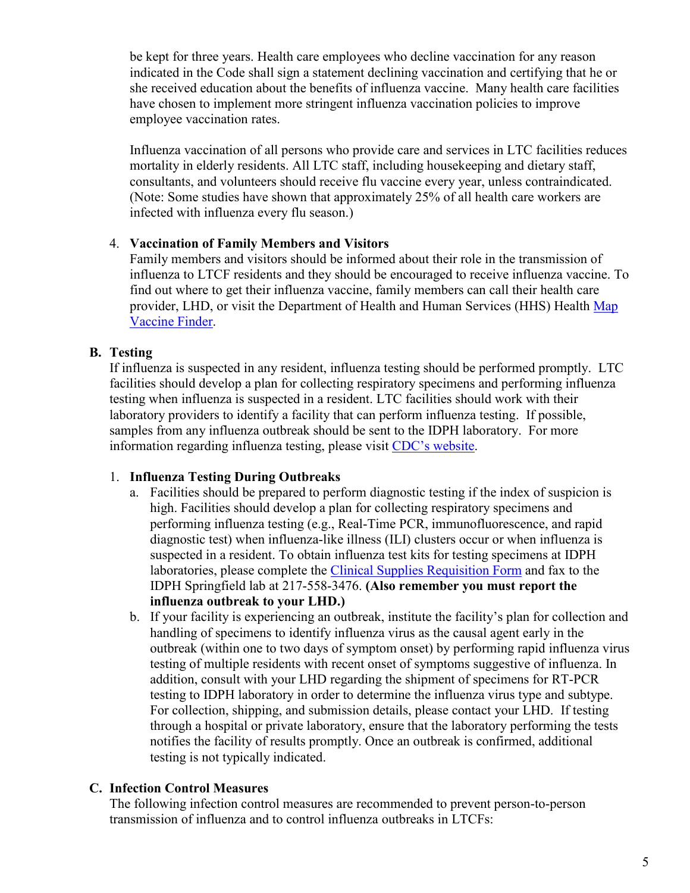be kept for three years. Health care employees who decline vaccination for any reason indicated in the Code shall sign a statement declining vaccination and certifying that he or she received education about the benefits of influenza vaccine. Many health care facilities have chosen to implement more stringent influenza vaccination policies to improve employee vaccination rates.

Influenza vaccination of all persons who provide care and services in LTC facilities reduces mortality in elderly residents. All LTC staff, including housekeeping and dietary staff, consultants, and volunteers should receive flu vaccine every year, unless contraindicated. (Note: Some studies have shown that approximately 25% of all health care workers are infected with influenza every flu season.)

#### 4. **Vaccination of Family Members and Visitors**

Family members and visitors should be informed about their role in the transmission of influenza to LTCF residents and they should be encouraged to receive influenza vaccine. To find out where to get their influenza vaccine, family members can call their health care provider, LHD, or visit the Department of Health and Human Services (HHS) Health [Map](https://vaccinefinder.org/)  [Vaccine Finder.](https://vaccinefinder.org/)

#### <span id="page-4-0"></span>**B. Testing**

If influenza is suspected in any resident, influenza testing should be performed promptly. LTC facilities should develop a plan for collecting respiratory specimens and performing influenza testing when influenza is suspected in a resident. LTC facilities should work with their laboratory providers to identify a facility that can perform influenza testing. If possible, samples from any influenza outbreak should be sent to the IDPH laboratory. For more information regarding influenza testing, please visit [CDC's website.](https://www.cdc.gov/flu/professionals/diagnosis/index.htm)

#### 1. **Influenza Testing During Outbreaks**

- a. Facilities should be prepared to perform diagnostic testing if the index of suspicion is high. Facilities should develop a plan for collecting respiratory specimens and performing influenza testing (e.g., Real-Time PCR, immunofluorescence, and rapid diagnostic test) when influenza-like illness (ILI) clusters occur or when influenza is suspected in a resident. To obtain influenza test kits for testing specimens at IDPH laboratories, please complete the [Clinical Supplies Requisition Form](http://dph.illinois.gov/sites/default/files/forms/ohp-clinical-supply-requisition-form.pdf) and fax to the IDPH Springfield lab at 217-558-3476. **(Also remember you must report the influenza outbreak to your LHD.)**
- b. If your facility is experiencing an outbreak, institute the facility's plan for collection and handling of specimens to identify influenza virus as the causal agent early in the outbreak (within one to two days of symptom onset) by performing rapid [influenza virus](http://www.cdc.gov/flu/professionals/diagnosis/0405testingguide.htm)  [testing](http://www.cdc.gov/flu/professionals/diagnosis/0405testingguide.htm) of multiple residents with recent onset of symptoms suggestive of influenza. In addition, consult with your LHD regarding the shipment of specimens for RT-PCR testing to IDPH laboratory in order to determine the influenza virus type and subtype. For collection, shipping, and submission details, please contact your LHD. If testing through a hospital or private laboratory, ensure that the laboratory performing the tests notifies the facility of results promptly. Once an outbreak is confirmed, additional testing is not typically indicated.

#### <span id="page-4-1"></span>**C. Infection Control Measures**

The following infection control measures are recommended to prevent person-to-person transmission of influenza and to control influenza outbreaks in LTCFs: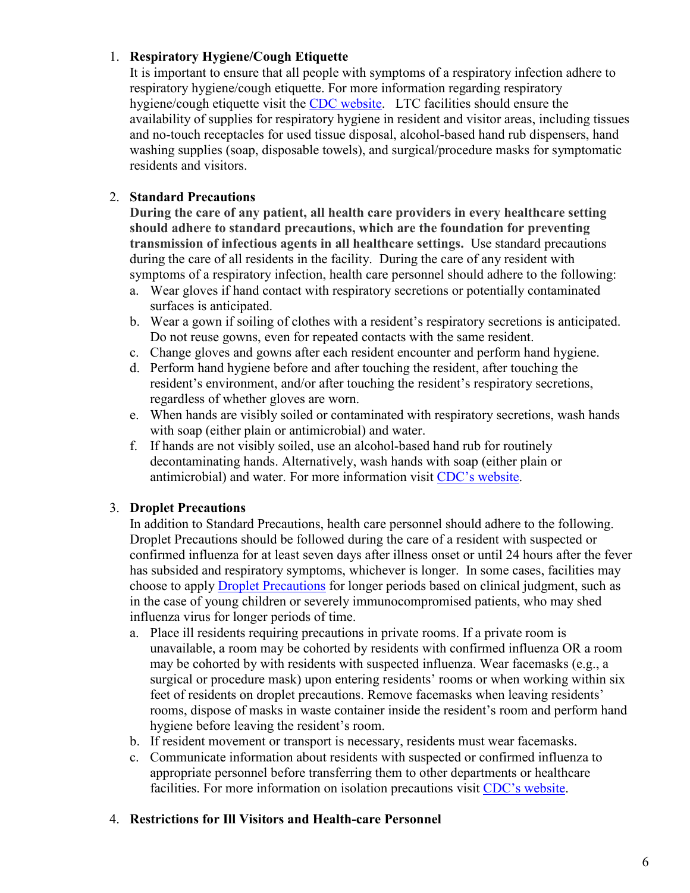#### 1. **[Respiratory Hygiene/Cough Etiquette](http://www.cdc.gov/flu/professionals/infectioncontrol/resphygiene.htm)**

It is important to ensure that all people with symptoms of a respiratory infection adhere to respiratory hygiene/cough etiquette. For more information regarding respiratory hygiene/cough etiquette visit the [CDC website.](http://www.cdc.gov/flu/professionals/infectioncontrol/longtermcare.htm) LTC facilities should ensure the availability of supplies for respiratory hygiene in resident and visitor areas, including tissues and no-touch receptacles for used tissue disposal, alcohol-based hand rub dispensers, hand washing supplies (soap, disposable towels), and surgical/procedure masks for symptomatic residents and visitors.

#### 2. **[Standard Precautions](http://www.cdc.gov/ncidod/hip/ISOLAT/std_prec_excerpt.htm)**

**During the care of any patient, all health care providers in every healthcare setting should adhere to standard precautions, which are the foundation for preventing transmission of infectious agents in all healthcare settings.** Use standard precautions during the care of all residents in the facility. During the care of any resident with symptoms of a respiratory infection, health care personnel should adhere to the following:

- a. Wear gloves if hand contact with respiratory secretions or potentially contaminated surfaces is anticipated.
- b. Wear a gown if soiling of clothes with a resident's respiratory secretions is anticipated. Do not reuse gowns, even for repeated contacts with the same resident.
- c. Change gloves and gowns after each resident encounter and perform hand hygiene.
- d. Perform hand hygiene before and after touching the resident, after touching the resident's environment, and/or after touching the resident's respiratory secretions, regardless of whether gloves are worn.
- e. When hands are visibly soiled or contaminated with respiratory secretions, wash hands with soap (either plain or antimicrobial) and water.
- f. If hands are not visibly soiled, use an alcohol-based hand rub for routinely decontaminating hands. Alternatively, wash hands with soap (either plain or antimicrobial) and water. For more information visit [CDC's website.](https://www.cdc.gov/handhygiene/)

#### 3. **[Droplet Precautions](http://www.cdc.gov/ncidod/hip/ISOLAT/droplet_prec_excerpt.htm)**

In addition to Standard Precautions, health care personnel should adhere to the following. Droplet Precautions should be followed during the care of a resident with suspected or confirmed influenza for at least seven days after illness onset or until 24 hours after the fever has subsided and respiratory symptoms, whichever is longer. In some cases, facilities may choose to apply [Droplet Precautions](https://www.cdc.gov/flu/professionals/infectioncontrol/healthcaresettings.htm) for longer periods based on clinical judgment, such as in the case of young children or severely immunocompromised patients, who may shed influenza virus for longer periods of time.

- a. Place ill residents requiring precautions in private rooms. If a private room is unavailable, a room may be cohorted by residents with confirmed influenza OR a room may be cohorted by with residents with suspected influenza. Wear facemasks (e.g., a surgical or procedure mask) upon entering residents' rooms or when working within six feet of residents on droplet precautions. Remove facemasks when leaving residents' rooms, dispose of masks in waste container inside the resident's room and perform hand hygiene before leaving the resident's room.
- b. If resident movement or transport is necessary, residents must wear facemasks.
- c. Communicate information about residents with suspected or confirmed influenza to appropriate personnel before transferring them to other departments or healthcare facilities. For more information on isolation precautions visit [CDC's website.](https://www.cdc.gov/infectioncontrol/guidelines/isolation/index.html)

#### 4. **Restrictions for Ill Visitors and Health-care Personnel**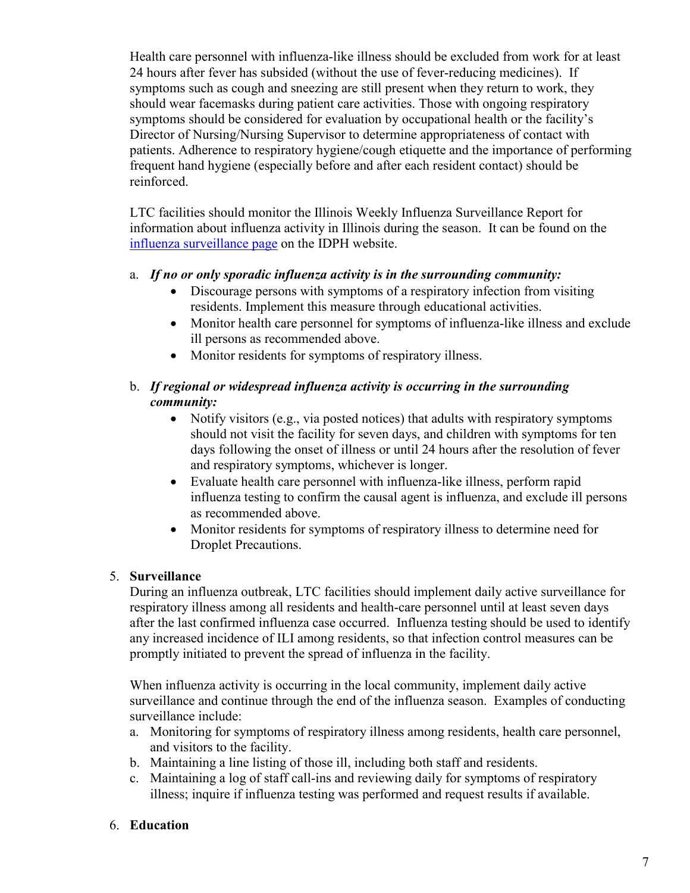Health care personnel with influenza-like illness should be excluded from work for at least 24 hours after fever has subsided (without the use of fever-reducing medicines). If symptoms such as cough and sneezing are still present when they return to work, they should wear facemasks during patient care activities. Those with ongoing respiratory symptoms should be considered for evaluation by occupational health or the facility's Director of Nursing/Nursing Supervisor to determine appropriateness of contact with patients. Adherence to respiratory hygiene/cough etiquette and the importance of performing frequent hand hygiene (especially before and after each resident contact) should be reinforced.

LTC facilities should monitor the Illinois Weekly Influenza Surveillance Report for information about influenza activity in Illinois during the season. It can be found on the [influenza surveillance page](http://www.dph.illinois.gov/topics-services/diseases-and-conditions/influenza/influenza-surveillance#publications) on the IDPH website.

#### a. *If no or only sporadic influenza activity is in the surrounding community:*

- Discourage persons with symptoms of a respiratory infection from visiting residents. Implement this measure through educational activities.
- Monitor health care personnel for symptoms of influenza-like illness and exclude ill persons as recommended above.
- Monitor residents for symptoms of respiratory illness.

#### b. *If regional or widespread influenza activity is occurring in the surrounding community:*

- Notify visitors (e.g., via posted notices) that adults with respiratory symptoms should not visit the facility for seven days, and children with symptoms for ten days following the onset of illness or until 24 hours after the resolution of fever and respiratory symptoms, whichever is longer.
- Evaluate health care personnel with influenza-like illness, perform rapid influenza testing to confirm the causal agent is influenza, and exclude ill persons as recommended above.
- Monitor residents for symptoms of respiratory illness to determine need for Droplet Precautions.

#### 5. **Surveillance**

During an influenza outbreak, LTC facilities should implement daily active surveillance for respiratory illness among all residents and health-care personnel until at least seven days after the last confirmed influenza case occurred. Influenza testing should be used to identify any increased incidence of ILI among residents, so that infection control measures can be promptly initiated to prevent the spread of influenza in the facility.

When influenza activity is occurring in the local community, implement daily active surveillance and continue through the end of the influenza season. Examples of conducting surveillance include:

- a. Monitoring for symptoms of respiratory illness among residents, health care personnel, and visitors to the facility.
- b. Maintaining a line listing of those ill, including both staff and residents.
- c. Maintaining a log of staff call-ins and reviewing daily for symptoms of respiratory illness; inquire if influenza testing was performed and request results if available.

#### 6. **Education**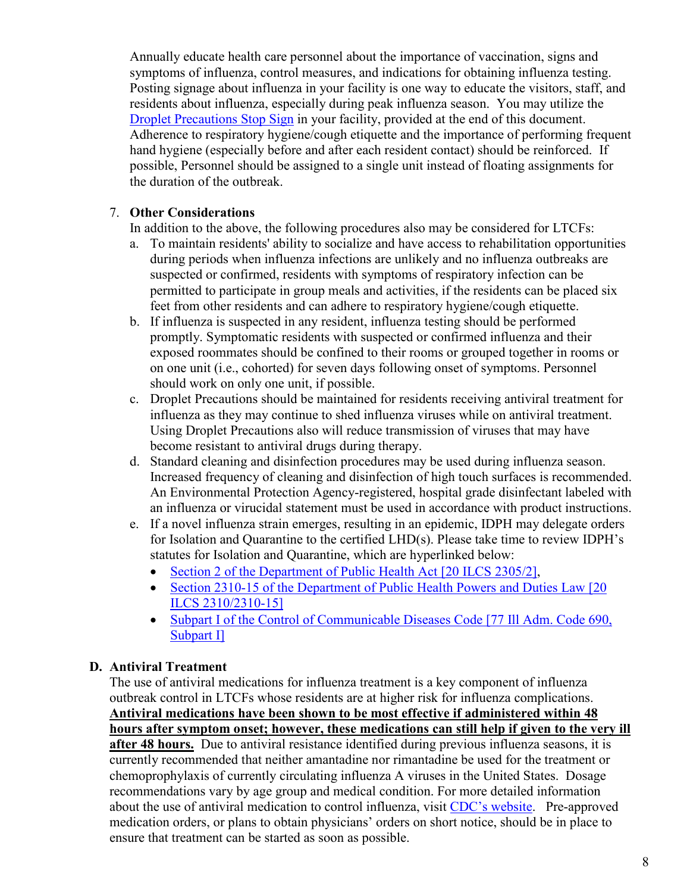Annually educate health care personnel about the importance of vaccination, signs and symptoms of influenza, control measures, and indications for obtaining influenza testing. Posting signage about influenza in your facility is one way to educate the visitors, staff, and residents about influenza, especially during peak influenza season. You may utilize the [Droplet Precautions Stop Sign](#page-15-0) in your facility, provided at the end of this document. Adherence to respiratory hygiene/cough etiquette and the importance of performing frequent hand hygiene (especially before and after each resident contact) should be reinforced. If possible, Personnel should be assigned to a single unit instead of floating assignments for the duration of the outbreak.

#### 7. **Other Considerations**

In addition to the above, the following procedures also may be considered for LTCFs:

- a. To maintain residents' ability to socialize and have access to rehabilitation opportunities during periods when influenza infections are unlikely and no influenza outbreaks are suspected or confirmed, residents with symptoms of respiratory infection can be permitted to participate in group meals and activities, if the residents can be placed six feet from other residents and can adhere to respiratory hygiene/cough etiquette.
- b. If influenza is suspected in any resident, influenza testing should be performed promptly. Symptomatic residents with suspected or confirmed influenza and their exposed roommates should be confined to their rooms or grouped together in rooms or on one unit (i.e., cohorted) for seven days following onset of symptoms. Personnel should work on only one unit, if possible.
- c. Droplet Precautions should be maintained for residents receiving antiviral treatment for influenza as they may continue to shed influenza viruses while on antiviral treatment. Using Droplet Precautions also will reduce transmission of viruses that may have become resistant to antiviral drugs during therapy.
- d. Standard cleaning and disinfection procedures may be used during influenza season. Increased frequency of cleaning and disinfection of high touch surfaces is recommended. An Environmental Protection Agency-registered, hospital grade disinfectant labeled with an influenza or virucidal statement must be used in accordance with product instructions.
- e. If a novel influenza strain emerges, resulting in an epidemic, IDPH may delegate orders for Isolation and Quarantine to the certified LHD(s). Please take time to review IDPH's statutes for Isolation and Quarantine, which are hyperlinked below:
	- [Section 2 of the Department of Public Health Act \[20 ILCS 2305/2\],](http://www.ilga.gov/legislation/ilcs/ilcs5.asp?ActID=331&ChapterID=5)
	- [Section 2310-15 of the Department of Public Health Powers](http://www.ilga.gov/legislation/ilcs/ilcs5.asp?ActID=331&ChapterID=5) and Duties Law [20] ILCS 2310/2310-15]
	- Subpart I [of the Control of Communicable Diseases](http://www.ilga.gov/commission/jcar/admincode/077/07700690sections.html) Code [77 Ill Adm. Code 690, [Subpart I\]](http://www.ilga.gov/commission/jcar/admincode/077/07700690sections.html)

#### <span id="page-7-0"></span>**D. Antiviral Treatment**

The use of antiviral medications for influenza treatment is a key component of influenza outbreak control in LTCFs whose residents are at higher risk for influenza complications. **Antiviral medications have been shown to be most effective if administered within 48 hours after symptom onset; however, these medications can still help if given to the very ill after 48 hours.** Due to antiviral resistance identified during previous influenza seasons, it is currently recommended that neither amantadine nor rimantadine be used for the treatment or chemoprophylaxis of currently circulating influenza A viruses in the United States. Dosage recommendations vary by age group and medical condition. For more detailed information about the use of antiviral medication to control influenza, visit [CDC's website.](https://www.cdc.gov/flu/professionals/antivirals/summary-clinicians.htm) Pre-approved medication orders, or plans to obtain physicians' orders on short notice, should be in place to ensure that treatment can be started as soon as possible.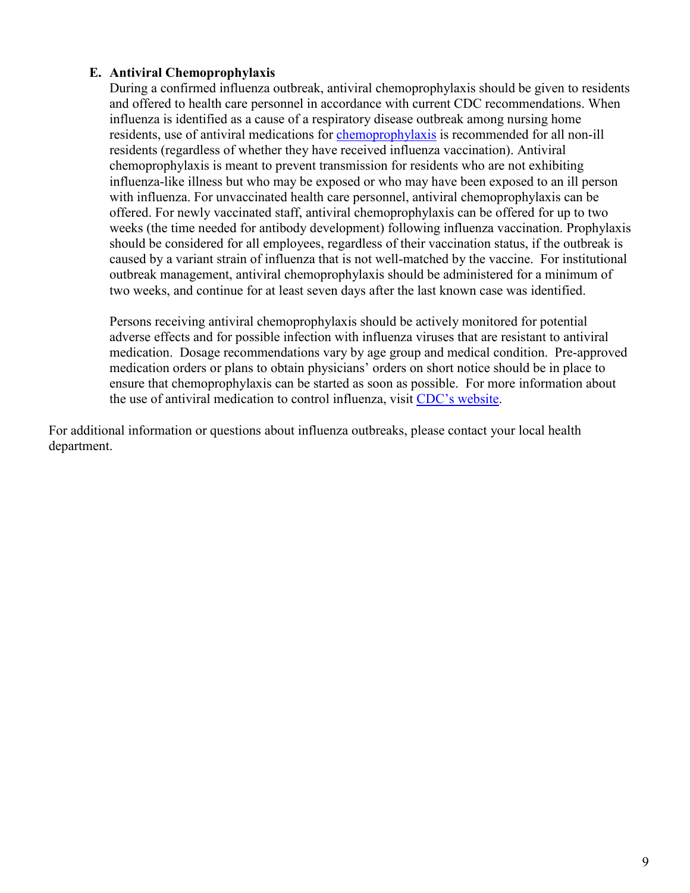#### <span id="page-8-0"></span>**E. Antiviral Chemoprophylaxis**

During a confirmed influenza outbreak, antiviral chemoprophylaxis should be given to residents and offered to health care personnel in accordance with current CDC recommendations. When influenza is identified as a cause of a respiratory disease outbreak among nursing home residents, use of antiviral medications for [chemoprophylaxis](https://www.cdc.gov/flu/professionals/antivirals/summary-clinicians.htm) is recommended for all non-ill residents (regardless of whether they have received influenza vaccination). Antiviral chemoprophylaxis is meant to prevent transmission for residents who are not exhibiting influenza-like illness but who may be exposed or who may have been exposed to an ill person with influenza. For unvaccinated health care personnel, antiviral chemoprophylaxis can be offered. For newly vaccinated staff, antiviral chemoprophylaxis can be offered for up to two weeks (the time needed for antibody development) following influenza vaccination. Prophylaxis should be considered for all employees, regardless of their vaccination status, if the outbreak is caused by a variant strain of influenza that is not well-matched by the vaccine. For institutional outbreak management, antiviral chemoprophylaxis should be administered for a minimum of two weeks, and continue for at least seven days after the last known case was identified.

Persons receiving antiviral chemoprophylaxis should be actively monitored for potential adverse effects and for possible infection with influenza viruses that are resistant to antiviral medication. Dosage recommendations vary by age group and medical condition. Pre-approved medication orders or plans to obtain physicians' orders on short notice should be in place to ensure that chemoprophylaxis can be started as soon as possible. For more information about the use of antiviral medication to control influenza, visit [CDC's website.](https://www.cdc.gov/flu/professionals/antivirals/summary-clinicians.htm)

For additional information or questions about influenza outbreaks, please contact your local health department.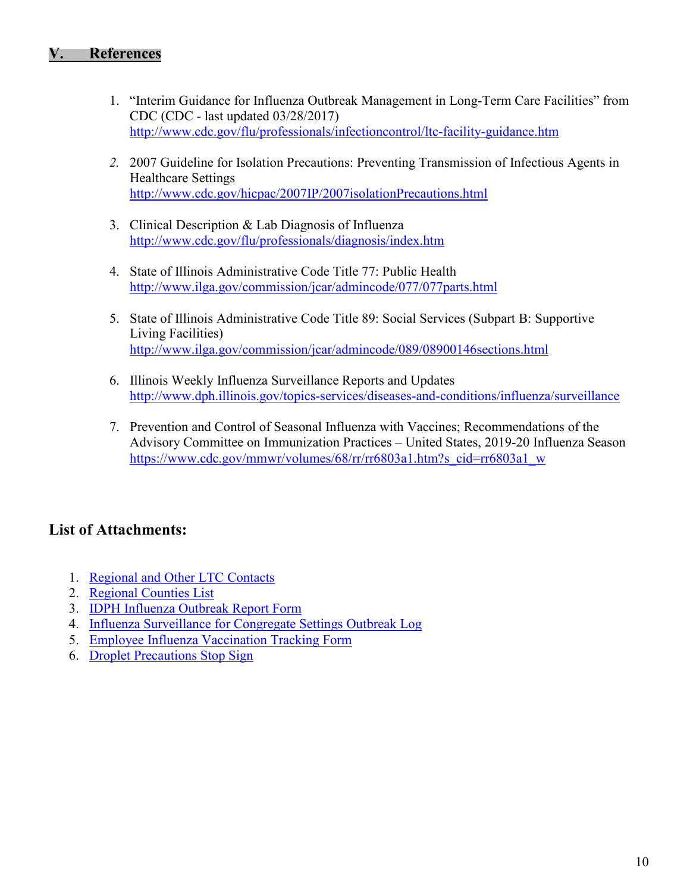#### <span id="page-9-0"></span>**V. References**

- 1. "Interim Guidance for Influenza Outbreak Management in Long-Term Care Facilities" from CDC (CDC - last updated 03/28/2017) <http://www.cdc.gov/flu/professionals/infectioncontrol/ltc-facility-guidance.htm>
- *2.* 2007 Guideline for Isolation Precautions: Preventing Transmission of Infectious Agents in Healthcare Settings <http://www.cdc.gov/hicpac/2007IP/2007isolationPrecautions.html>
- 3. Clinical Description & Lab Diagnosis of Influenza <http://www.cdc.gov/flu/professionals/diagnosis/index.htm>
- 4. State of Illinois Administrative Code Title 77: Public Health <http://www.ilga.gov/commission/jcar/admincode/077/077parts.html>
- 5. State of Illinois Administrative Code Title 89: Social Services (Subpart B: Supportive Living Facilities) <http://www.ilga.gov/commission/jcar/admincode/089/08900146sections.html>
- 6. Illinois Weekly Influenza Surveillance Reports and Updates <http://www.dph.illinois.gov/topics-services/diseases-and-conditions/influenza/surveillance>
- 7. Prevention and Control of Seasonal Influenza with Vaccines; Recommendations of the Advisory Committee on Immunization Practices – United States, 2019-20 Influenza Season https://www.cdc.gov/mmwr/volumes/68/rr/rr6803a1.htm?s\_cid=rr6803a1\_w

#### **List of Attachments:**

- 1. [Regional and Other LTC Contacts](#page-9-1)
- 2. [Regional Counties List](#page-11-0)
- 3. [IDPH Influenza Outbreak Report Form](#page-12-0)
- 4. [Influenza Surveillance for Congregate Settings Outbreak Log](#page-13-1)
- 5. [Employee Influenza Vaccination Tracking Form](#page-14-1)
- <span id="page-9-1"></span>6. [Droplet Precautions Stop Sign](#page-15-0)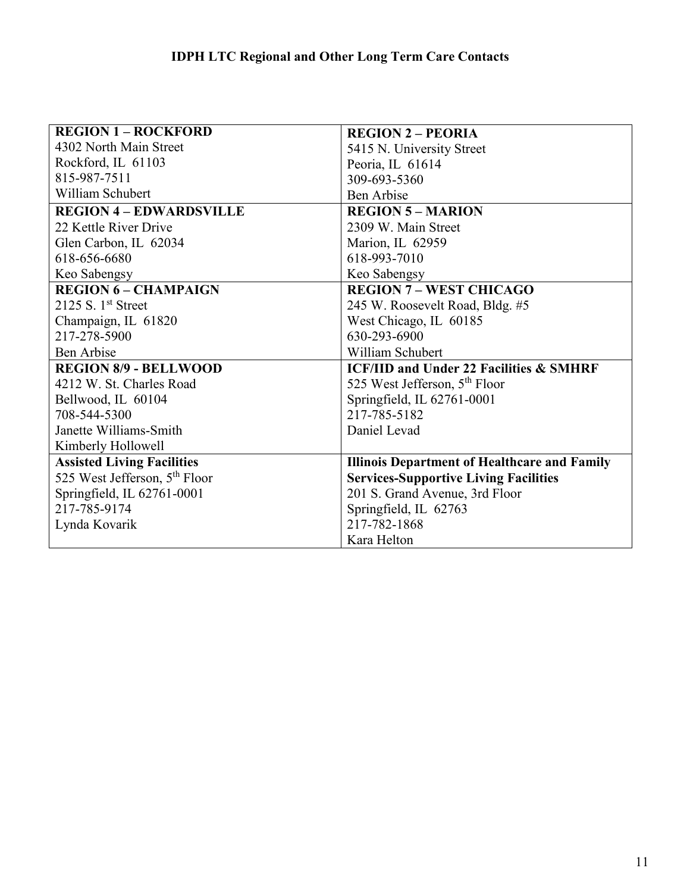| <b>REGION 1 - ROCKFORD</b>                | <b>REGION 2 – PEORIA</b>                            |  |  |  |
|-------------------------------------------|-----------------------------------------------------|--|--|--|
| 4302 North Main Street                    | 5415 N. University Street                           |  |  |  |
| Rockford, IL 61103                        | Peoria, IL 61614                                    |  |  |  |
| 815-987-7511                              | 309-693-5360                                        |  |  |  |
| William Schubert                          | Ben Arbise                                          |  |  |  |
| <b>REGION 4 - EDWARDSVILLE</b>            | <b>REGION 5 - MARION</b>                            |  |  |  |
| 22 Kettle River Drive                     | 2309 W. Main Street                                 |  |  |  |
| Glen Carbon, IL 62034                     | Marion, IL 62959                                    |  |  |  |
| 618-656-6680                              | 618-993-7010                                        |  |  |  |
| Keo Sabengsy                              | Keo Sabengsy                                        |  |  |  |
| <b>REGION 6 - CHAMPAIGN</b>               | <b>REGION 7 - WEST CHICAGO</b>                      |  |  |  |
| 2125 S. $1st$ Street                      | 245 W. Roosevelt Road, Bldg. #5                     |  |  |  |
| Champaign, IL 61820                       | West Chicago, IL 60185                              |  |  |  |
| 217-278-5900                              | 630-293-6900                                        |  |  |  |
| Ben Arbise                                | William Schubert                                    |  |  |  |
| <b>REGION 8/9 - BELLWOOD</b>              | <b>ICF/IID and Under 22 Facilities &amp; SMHRF</b>  |  |  |  |
| 4212 W. St. Charles Road                  | 525 West Jefferson, 5 <sup>th</sup> Floor           |  |  |  |
| Bellwood, IL 60104                        | Springfield, IL 62761-0001                          |  |  |  |
| 708-544-5300                              | 217-785-5182                                        |  |  |  |
| Janette Williams-Smith                    | Daniel Levad                                        |  |  |  |
| Kimberly Hollowell                        |                                                     |  |  |  |
| <b>Assisted Living Facilities</b>         | <b>Illinois Department of Healthcare and Family</b> |  |  |  |
| 525 West Jefferson, 5 <sup>th</sup> Floor | <b>Services-Supportive Living Facilities</b>        |  |  |  |
| Springfield, IL 62761-0001                | 201 S. Grand Avenue, 3rd Floor                      |  |  |  |
| 217-785-9174                              | Springfield, IL 62763                               |  |  |  |
| Lynda Kovarik                             | 217-782-1868                                        |  |  |  |
|                                           | Kara Helton                                         |  |  |  |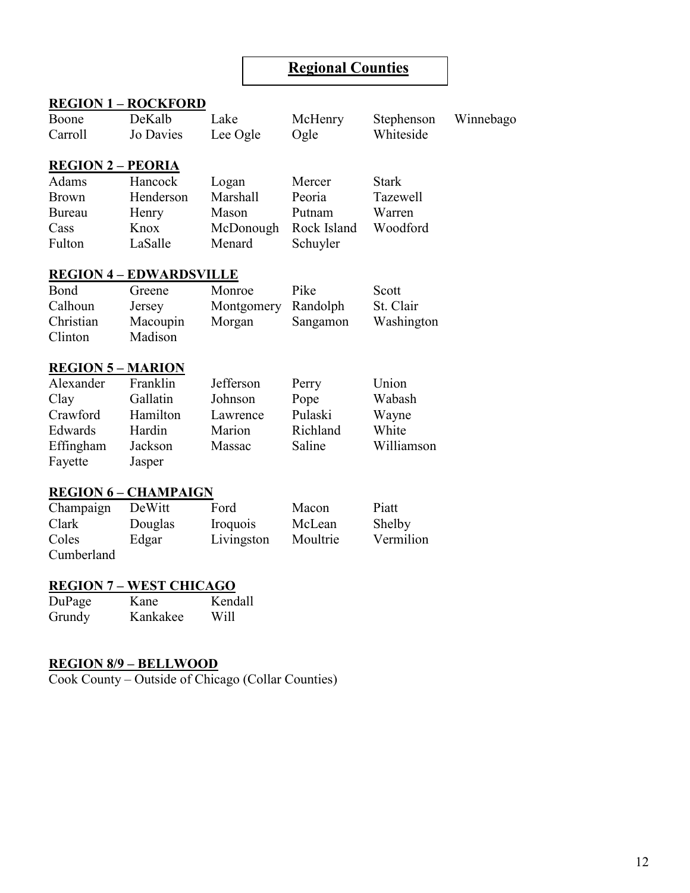#### <span id="page-11-0"></span>**Regional Counties**

|                          | <b>REGION 1 - ROCKFORD</b>     |            |             |                     |           |
|--------------------------|--------------------------------|------------|-------------|---------------------|-----------|
| Boone                    | DeKalb                         | Lake       | McHenry     | Stephenson          | Winnebago |
| Carroll                  | Jo Davies                      | Lee Ogle   | Ogle        | Whiteside           |           |
|                          |                                |            |             |                     |           |
| <b>REGION 2 - PEORIA</b> |                                |            |             |                     |           |
| Adams                    | Hancock                        | Logan      | Mercer      | <b>Stark</b>        |           |
| <b>Brown</b>             | Henderson                      | Marshall   | Peoria      | <b>Tazewell</b>     |           |
| Bureau                   | Henry                          | Mason      | Putnam      | Warren              |           |
| Cass                     | Knox                           | McDonough  | Rock Island | Woodford            |           |
| Fulton                   | LaSalle                        | Menard     | Schuyler    |                     |           |
|                          | <b>REGION 4 – EDWARDSVILLE</b> |            |             |                     |           |
| Bond                     | Greene                         | Monroe     | Pike        | Scott               |           |
| Calhoun                  | Jersey                         | Montgomery | Randolph    | St. Clair           |           |
| Christian                | Macoupin                       | Morgan     | Sangamon    | Washington          |           |
| Clinton                  | Madison                        |            |             |                     |           |
|                          |                                |            |             |                     |           |
| <b>REGION 5 - MARION</b> |                                |            |             |                     |           |
| Alexander                | Franklin                       | Jefferson  | Perry       | Union               |           |
| Clay                     | Gallatin                       | Johnson    | Pope        | Wabash              |           |
| Crawford                 | Hamilton                       | Lawrence   | Pulaski     | Wayne               |           |
| Edwards                  | Hardin                         | Marion     | Richland    | White               |           |
| Effingham                | Jackson                        | Massac     | Saline      | Williamson          |           |
| Fayette                  | Jasper                         |            |             |                     |           |
|                          | <b>REGION 6 - CHAMPAIGN</b>    |            |             |                     |           |
|                          | DeWitt                         | Ford       | Macon       | Piatt               |           |
| Champaign<br>Clark       |                                |            | McLean      |                     |           |
| Coles                    | Douglas                        | Iroquois   | Moultrie    | Shelby<br>Vermilion |           |
|                          | Edgar                          | Livingston |             |                     |           |
| Cumberland               |                                |            |             |                     |           |
|                          | <b>REGION 7 - WEST CHICAGO</b> |            |             |                     |           |
| DuPage                   | Kane                           | Kendall    |             |                     |           |
| Grundy                   | Kankakee                       | Will       |             |                     |           |

#### **REGION 8/9 – BELLWOOD**

Cook County – Outside of Chicago (Collar Counties)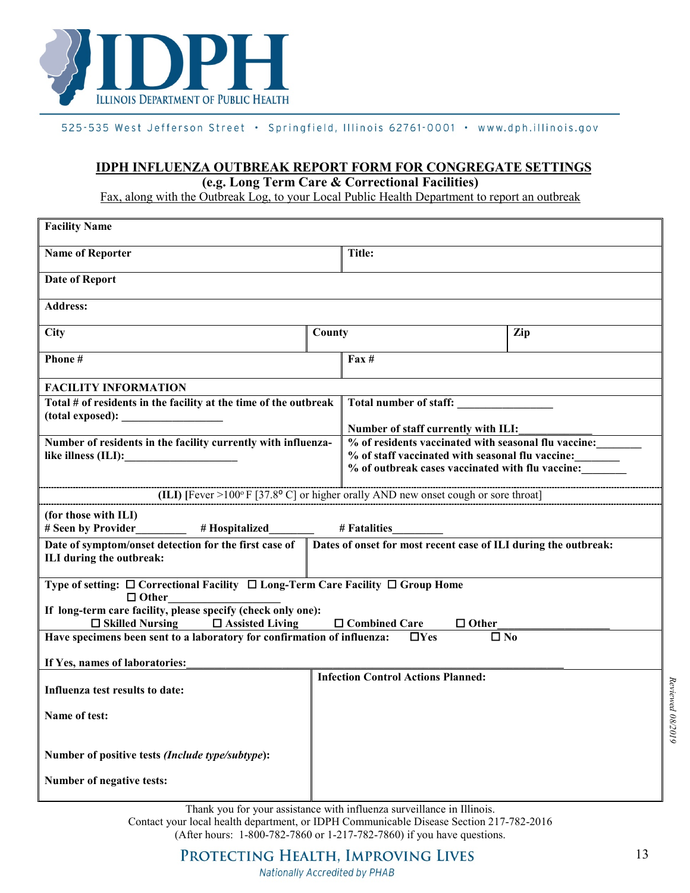

#### <span id="page-12-0"></span>525-535 West Jefferson Street · Springfield, Illinois 62761-0001 · www.dph.illinois.gov

#### **IDPH INFLUENZA OUTBREAK REPORT FORM FOR CONGREGATE SETTINGS (e.g. Long Term Care & Correctional Facilities)**

Fax, along with the Outbreak Log, to your Local Public Health Department to report an outbreak

| <b>Facility Name</b>                                                                                                                                 |                        |                                                                                     |     |  |  |  |
|------------------------------------------------------------------------------------------------------------------------------------------------------|------------------------|-------------------------------------------------------------------------------------|-----|--|--|--|
| <b>Name of Reporter</b>                                                                                                                              | Title:                 |                                                                                     |     |  |  |  |
| <b>Date of Report</b>                                                                                                                                |                        |                                                                                     |     |  |  |  |
| <b>Address:</b>                                                                                                                                      |                        |                                                                                     |     |  |  |  |
| <b>City</b>                                                                                                                                          | County                 |                                                                                     | Zip |  |  |  |
| Phone#                                                                                                                                               |                        | $\text{Fax} \#$                                                                     |     |  |  |  |
| <b>FACILITY INFORMATION</b>                                                                                                                          |                        |                                                                                     |     |  |  |  |
| Total # of residents in the facility at the time of the outbreak<br>(total exposed):                                                                 | Total number of staff: |                                                                                     |     |  |  |  |
|                                                                                                                                                      |                        | Number of staff currently with ILI:                                                 |     |  |  |  |
| Number of residents in the facility currently with influenza-                                                                                        |                        | % of residents vaccinated with seasonal flu vaccine:                                |     |  |  |  |
| like illness (ILI):                                                                                                                                  |                        | % of staff vaccinated with seasonal flu vaccine:                                    |     |  |  |  |
|                                                                                                                                                      |                        | % of outbreak cases vaccinated with flu vaccine:                                    |     |  |  |  |
|                                                                                                                                                      |                        | (ILI) [Fever >100° F [37.8° C] or higher orally AND new onset cough or sore throat] |     |  |  |  |
| (for those with ILI)<br># Seen by Provider<br># Hospitalized                                                                                         |                        | # Fatalities                                                                        |     |  |  |  |
| Date of symptom/onset detection for the first case of<br>Dates of onset for most recent case of ILI during the outbreak:<br>ILI during the outbreak: |                        |                                                                                     |     |  |  |  |
| Type of setting: □ Correctional Facility □ Long-Term Care Facility □ Group Home<br>$\Box$ Other                                                      |                        |                                                                                     |     |  |  |  |
| If long-term care facility, please specify (check only one):                                                                                         |                        |                                                                                     |     |  |  |  |
| □ Combined Care<br>$\Box$ Skilled Nursing<br>$\Box$ Assisted Living<br>$\Box$ Other                                                                  |                        |                                                                                     |     |  |  |  |
| Have specimens been sent to a laboratory for confirmation of influenza:                                                                              |                        | $\Box$ Yes<br>$\square$ No                                                          |     |  |  |  |
| If Yes, names of laboratories:                                                                                                                       |                        |                                                                                     |     |  |  |  |
|                                                                                                                                                      |                        | <b>Infection Control Actions Planned:</b>                                           |     |  |  |  |
| Influenza test results to date:                                                                                                                      |                        |                                                                                     |     |  |  |  |
| Name of test:                                                                                                                                        |                        |                                                                                     |     |  |  |  |
|                                                                                                                                                      |                        |                                                                                     |     |  |  |  |
| Number of positive tests (Include type/subtype):                                                                                                     |                        |                                                                                     |     |  |  |  |
| Number of negative tests:                                                                                                                            |                        |                                                                                     |     |  |  |  |

Thank you for your assistance with influenza surveillance in Illinois. Contact your local health department, or IDPH Communicable Disease Section 217-782-2016 (After hours: 1-800-782-7860 or 1-217-782-7860) if you have questions.

PROTECTING HEALTH, IMPROVING LIVES

*Reviewed 08/2019*

Reviewed 08/2019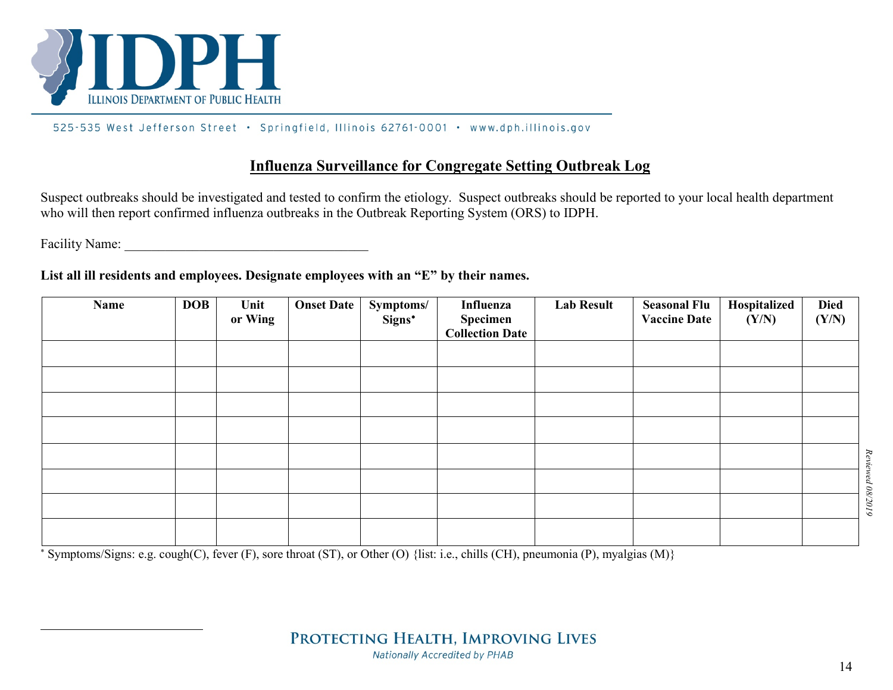

 $\overline{a}$ 

#### 525-535 West Jefferson Street · Springfield, Illinois 62761-0001 · www.dph.illinois.gov

#### <span id="page-13-2"></span>**Influenza Surveillance for Congregate Setting Outbreak Log**

Suspect outbreaks should be investigated and tested to confirm the etiology. Suspect outbreaks should be reported to your local health department who will then report confirmed influenza outbreaks in the Outbreak Reporting System (ORS) to IDPH.

Facility Name:

**List all ill residents and employees. Designate employees with an "E" by their names.**

<span id="page-13-1"></span><span id="page-13-0"></span>

| Name | <b>DOB</b> | Unit<br>or Wing | <b>Onset Date</b> | Symptoms/<br>Signs* | Influenza<br><b>Specimen<br/>Collection Date</b> | <b>Lab Result</b> | <b>Seasonal Flu</b><br><b>Vaccine Date</b> | Hospitalized<br>(Y/N) | <b>Died</b><br>(Y/N) |          |
|------|------------|-----------------|-------------------|---------------------|--------------------------------------------------|-------------------|--------------------------------------------|-----------------------|----------------------|----------|
|      |            |                 |                   |                     |                                                  |                   |                                            |                       |                      |          |
|      |            |                 |                   |                     |                                                  |                   |                                            |                       |                      |          |
|      |            |                 |                   |                     |                                                  |                   |                                            |                       |                      |          |
|      |            |                 |                   |                     |                                                  |                   |                                            |                       |                      |          |
|      |            |                 |                   |                     |                                                  |                   |                                            |                       |                      | Reviewed |
|      |            |                 |                   |                     |                                                  |                   |                                            |                       |                      |          |
|      |            |                 |                   |                     |                                                  |                   |                                            |                       |                      | 08/2019  |
|      |            |                 |                   |                     |                                                  |                   |                                            |                       |                      |          |

<sup>∗</sup> Symptoms/Signs: e.g. cough(C), fever (F), sore throat (ST), or Other (O) {list: i.e., chills (CH), pneumonia (P), myalgias (M)}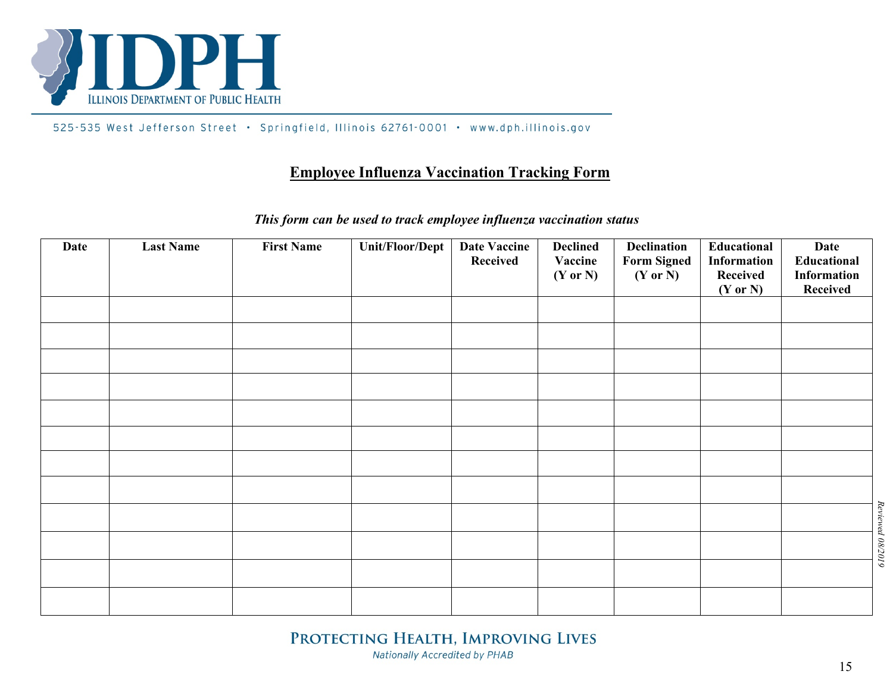

Г

525-535 West Jefferson Street · Springfield, Illinois 62761-0001 · www.dph.illinois.gov

#### **Employee Influenza Vaccination Tracking Form**

# *This form can be used to track employee influenza vaccination status*

<span id="page-14-1"></span><span id="page-14-0"></span>

| <b>Date</b> | <b>Last Name</b> | <b>First Name</b> | <b>Unit/Floor/Dept</b> | <b>Date Vaccine</b><br>Received | <b>Declined</b><br>Vaccine<br>$(Y \text{ or } N)$ | <b>Declination</b><br><b>Form Signed</b><br>$(Y \text{ or } N)$ | Educational<br>Information<br>Received<br>$(Y \text{ or } N)$ | <b>Date</b><br>Educational<br>Information<br>Received |                  |
|-------------|------------------|-------------------|------------------------|---------------------------------|---------------------------------------------------|-----------------------------------------------------------------|---------------------------------------------------------------|-------------------------------------------------------|------------------|
|             |                  |                   |                        |                                 |                                                   |                                                                 |                                                               |                                                       |                  |
|             |                  |                   |                        |                                 |                                                   |                                                                 |                                                               |                                                       |                  |
|             |                  |                   |                        |                                 |                                                   |                                                                 |                                                               |                                                       |                  |
|             |                  |                   |                        |                                 |                                                   |                                                                 |                                                               |                                                       |                  |
|             |                  |                   |                        |                                 |                                                   |                                                                 |                                                               |                                                       |                  |
|             |                  |                   |                        |                                 |                                                   |                                                                 |                                                               |                                                       |                  |
|             |                  |                   |                        |                                 |                                                   |                                                                 |                                                               |                                                       |                  |
|             |                  |                   |                        |                                 |                                                   |                                                                 |                                                               |                                                       |                  |
|             |                  |                   |                        |                                 |                                                   |                                                                 |                                                               |                                                       | Reviewed 08/2019 |
|             |                  |                   |                        |                                 |                                                   |                                                                 |                                                               |                                                       |                  |
|             |                  |                   |                        |                                 |                                                   |                                                                 |                                                               |                                                       |                  |
|             |                  |                   |                        |                                 |                                                   |                                                                 |                                                               |                                                       |                  |